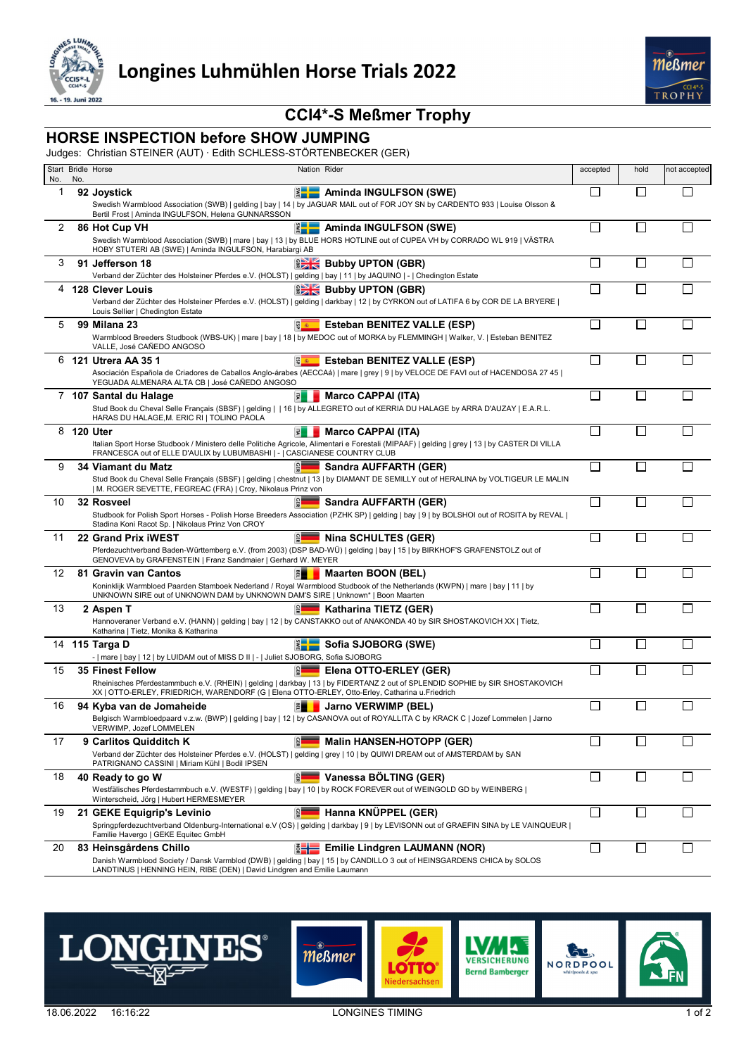

## **CCI4\*-S Meßmer Trophy**

## **HORSE INSPECTION before SHOW JUMPING**

Judges: Christian STEINER (AUT) · Edith SCHLESS-STÖRTENBECKER (GER)

|                    | No. | Start Bridle Horse<br>Nation Rider                                                                                                                                                                                              |                                      | accepted                    | hold                     | not accepted |
|--------------------|-----|---------------------------------------------------------------------------------------------------------------------------------------------------------------------------------------------------------------------------------|--------------------------------------|-----------------------------|--------------------------|--------------|
| No.<br>$\mathbf 1$ |     | 92 Joystick                                                                                                                                                                                                                     | <b>EXAMINE AMINGULFSON (SWE)</b>     | П                           | П                        | H            |
|                    |     | Swedish Warmblood Association (SWB)   gelding   bay   14   by JAGUAR MAIL out of FOR JOY SN by CARDENTO 933   Louise Olsson &<br>Bertil Frost   Aminda INGULFSON, Helena GUNNARSSON                                             |                                      |                             |                          |              |
| 2                  |     | 86 Hot Cup VH<br>Swedish Warmblood Association (SWB)   mare   bay   13   by BLUE HORS HOTLINE out of CUPEA VH by CORRADO WL 919   VÄSTRA                                                                                        | Aminda INGULFSON (SWE)               | $\Box$                      | $\mathbf{L}$             |              |
|                    |     | HOBY STUTERI AB (SWE)   Aminda INGULFSON, Harabiargi AB                                                                                                                                                                         |                                      |                             |                          |              |
| 3                  |     | 91 Jefferson 18<br>Verband der Züchter des Holsteiner Pferdes e.V. (HOLST)   gelding   bay   11   by JAQUINO   -   Chedington Estate                                                                                            | <b>BEK</b> Bubby UPTON (GBR)         | П                           | $\Box$                   |              |
|                    |     | 4 128 Clever Louis                                                                                                                                                                                                              | <b>Bubby UPTON (GBR)</b>             | $\mathbf{I}$                | $\mathsf{L}$             |              |
|                    |     | Verband der Züchter des Holsteiner Pferdes e.V. (HOLST)   gelding   darkbay   12   by CYRKON out of LATIFA 6 by COR DE LA BRYERE  <br>Louis Sellier   Chedington Estate                                                         |                                      |                             |                          |              |
| 5                  |     | 58 美<br>99 Milana 23                                                                                                                                                                                                            | <b>Esteban BENITEZ VALLE (ESP)</b>   |                             |                          |              |
|                    |     | Warmblood Breeders Studbook (WBS-UK)   mare   bay   18   by MEDOC out of MORKA by FLEMMINGH   Walker, V.   Esteban BENITEZ<br>VALLE, José CAÑEDO ANGOSO                                                                         |                                      |                             |                          |              |
| 6                  |     | 121 Utrera AA 35 1<br>59 美                                                                                                                                                                                                      | <b>Esteban BENITEZ VALLE (ESP)</b>   | $\mathcal{L}_{\mathcal{A}}$ | <b>I</b>                 |              |
|                    |     | Asociación Española de Criadores de Caballos Anglo-árabes (AECCAá)   mare   grey   9   by VELOCE DE FAVI out of HACENDOSA 27 45  <br>YEGUADA ALMENARA ALTA CB   José CAÑEDO ANGOSO                                              |                                      |                             |                          |              |
|                    |     | 7 107 Santal du Halage<br>圚                                                                                                                                                                                                     | <b>Marco CAPPAI (ITA)</b>            | $\mathsf{I}$                |                          |              |
|                    |     | Stud Book du Cheval Selle Français (SBSF)   gelding     16   by ALLEGRETO out of KERRIA DU HALAGE by ARRA D'AUZAY   E.A.R.L.<br>HARAS DU HALAGE, M. ERIC RI   TOLINO PAOLA                                                      |                                      |                             |                          |              |
| 8                  |     | 120 Uter<br>員                                                                                                                                                                                                                   | Marco CAPPAI (ITA)                   | $\mathbb{R}^n$              | $\mathsf{L}$             |              |
|                    |     | Italian Sport Horse Studbook / Ministero delle Politiche Agricole, Alimentari e Forestali (MIPAAF)   gelding   grey   13   by CASTER DI VILLA<br>FRANCESCA out of ELLE D'AULIX by LUBUMBASHI   -   CASCIANESE COUNTRY CLUB      |                                      |                             |                          |              |
| 9                  |     | 34 Viamant du Matz                                                                                                                                                                                                              | Sandra AUFFARTH (GER)                | П                           | $\mathsf{L}$             |              |
|                    |     | Stud Book du Cheval Selle Français (SBSF)   gelding   chestnut   13   by DIAMANT DE SEMILLY out of HERALINA by VOLTIGEUR LE MALIN<br>  M. ROGER SEVETTE, FEGREAC (FRA)   Croy, Nikolaus Prinz von                               |                                      |                             |                          |              |
| 10                 |     | 32 Rosveel                                                                                                                                                                                                                      | Sandra AUFFARTH (GER)                | П                           | $\Box$                   |              |
|                    |     | Studbook for Polish Sport Horses - Polish Horse Breeders Association (PZHK SP)   gelding   bay   9   by BOLSHOI out of ROSITA by REVAL  <br>Stadina Koni Racot Sp.   Nikolaus Prinz Von CROY                                    |                                      |                             |                          |              |
| 11                 |     | 22 Grand Prix iWEST                                                                                                                                                                                                             | <b>Nina SCHULTES (GER)</b>           | $\Box$                      | $\Box$                   | H            |
|                    |     | Pferdezuchtverband Baden-Württemberg e.V. (from 2003) (DSP BAD-WÜ)   gelding   bay   15   by BIRKHOF'S GRAFENSTOLZ out of<br>GENOVEVA by GRAFENSTEIN   Franz Sandmaier   Gerhard W. MEYER                                       |                                      |                             |                          |              |
| 12                 |     | 81 Gravin van Cantos<br>F<br>Koninklijk Warmbloed Paarden Stamboek Nederland / Royal Warmblood Studbook of the Netherlands (KWPN)   mare   bay   11   by                                                                        | <b>Maarten BOON (BEL)</b>            |                             | $\mathsf{L}$             |              |
|                    |     | UNKNOWN SIRE out of UNKNOWN DAM by UNKNOWN DAM'S SIRE   Unknown*   Boon Maarten                                                                                                                                                 |                                      |                             |                          |              |
| 13                 |     | 2 Aspen T<br>Hannoveraner Verband e.V. (HANN)   gelding   bay   12   by CANSTAKKO out of ANAKONDA 40 by SIR SHOSTAKOVICH XX   Tietz,                                                                                            | Katharina TIETZ (GER)                | I.                          | $\overline{\phantom{a}}$ |              |
|                    |     | Katharina   Tietz, Monika & Katharina                                                                                                                                                                                           |                                      |                             |                          |              |
|                    |     | 14 115 Targa D<br>-   mare   bay   12   by LUIDAM out of MISS D II   -   Juliet SJOBORG, Sofia SJOBORG                                                                                                                          | Sofia SJOBORG (SWE)                  |                             |                          |              |
| 15                 |     | <b>35 Finest Fellow</b>                                                                                                                                                                                                         | Elena OTTO-ERLEY (GER)               |                             |                          |              |
|                    |     | Rheinisches Pferdestammbuch e.V. (RHEIN)   gelding   darkbay   13   by FIDERTANZ 2 out of SPLENDID SOPHIE by SIR SHOSTAKOVICH<br>XX   OTTO-ERLEY, FRIEDRICH, WARENDORF (G   Elena OTTO-ERLEY, Otto-Erley, Catharina u.Friedrich |                                      |                             |                          |              |
| 16                 |     | 94 Kyba van de Jomaheide<br>門                                                                                                                                                                                                   | Jarno VERWIMP (BEL)                  |                             |                          |              |
|                    |     | Belgisch Warmbloedpaard v.z.w. (BWP)   gelding   bay   12   by CASANOVA out of ROYALLITA C by KRACK C   Jozef Lommelen   Jarno<br>VERWIMP, Jozef LOMMELEN                                                                       |                                      |                             |                          |              |
| 17                 |     | eer<br>9 Carlitos Quidditch K                                                                                                                                                                                                   | <b>Malin HANSEN-HOTOPP (GER)</b>     | П                           |                          |              |
|                    |     | Verband der Züchter des Holsteiner Pferdes e.V. (HOLST)   gelding   grey   10   by QUIWI DREAM out of AMSTERDAM by SAN<br>PATRIGNANO CASSINI   Miriam Kühl   Bodil IPSEN                                                        |                                      |                             |                          |              |
| 18                 |     | 40 Ready to go W                                                                                                                                                                                                                | Vanessa BÖLTING (GER)                | $\Box$                      | □                        |              |
|                    |     | Westfälisches Pferdestammbuch e.V. (WESTF)   gelding   bay   10   by ROCK FOREVER out of WEINGOLD GD by WEINBERG  <br>Winterscheid, Jörg   Hubert HERMESMEYER                                                                   |                                      |                             |                          |              |
| 19                 |     | 읿<br>21 GEKE Equigrip's Levinio                                                                                                                                                                                                 | Hanna KNÜPPEL (GER)                  | $\Box$                      | $\Box$                   |              |
|                    |     | Springpferdezuchtverband Oldenburg-International e.V (OS)   gelding   darkbay   9   by LEVISONN out of GRAEFIN SINA by LE VAINQUEUR  <br>Familie Havergo   GEKE Equitec GmbH                                                    |                                      |                             |                          |              |
| 20                 |     | 83 Heinsgårdens Chillo                                                                                                                                                                                                          | <b>Emilie Lindgren LAUMANN (NOR)</b> | □                           | $\Box$                   |              |
|                    |     | Danish Warmblood Society / Dansk Varmblod (DWB)   gelding   bay   15   by CANDILLO 3 out of HEINSGARDENS CHICA by SOLOS<br>LANDTINUS   HENNING HEIN, RIBE (DEN)   David Lindgren and Emilie Laumann                             |                                      |                             |                          |              |